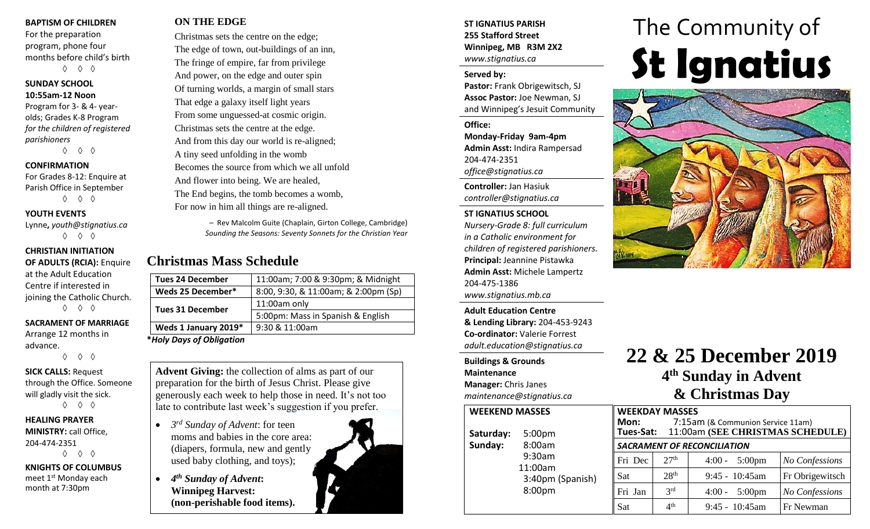#### **BAPTISM OF CHILDREN**

For the preparation program, phone four months before child's birth ◊ ◊ ◊

#### **SUNDAY SCHOOL 10:55am-12 Noon**

Program for 3- & 4- yearolds; Grades K-8 Program *for the children of registered parishioners*

◊ ◊ ◊

#### **CONFIRMATION**

For Grades 8-12: Enquire at Parish Office in September ◊ ◊ ◊

**YOUTH EVENTS**

Lynne**,** *youth@stignatius.ca* ◊ ◊ ◊

#### **CHRISTIAN INITIATION**

**OF ADULTS (RCIA):** Enquire at the Adult Education Centre if interested in joining the Catholic Church. ◊ ◊ ◊

#### **SACRAMENT OF MARRIAGE**

Arrange 12 months in advance.

◊ ◊ ◊

#### **SICK CALLS:** Request through the Office. Someone will gladly visit the sick. ◊ ◊ ◊

**HEALING PRAYER MINISTRY:** call Office, 204-474-2351 ◊ ◊ ◊

**KNIGHTS OF COLUMBUS** meet 1<sup>st</sup> Monday each month at 7:30pm

### **ON THE EDGE**

Christmas sets the centre on the edge; The edge of town, out-buildings of an inn, The fringe of empire, far from privilege And power, on the edge and outer spin Of turning worlds, a margin of small stars That edge a galaxy itself light years From some unguessed-at cosmic origin. Christmas sets the centre at the edge. And from this day our world is re-aligned; A tiny seed unfolding in the womb Becomes the source from which we all unfold And flower into being. We are healed, The End begins, the tomb becomes a womb, For now in him all things are re-aligned.

> – Rev Malcolm Guite (Chaplain, Girton College, Cambridge) *Sounding the Seasons: Seventy Sonnets for the Christian Year*

## **Christmas Mass Schedule**

| <b>Tues 24 December</b>  | 11:00am; 7:00 & 9:30pm; & Midnight   |
|--------------------------|--------------------------------------|
| Weds 25 December*        | 8:00, 9:30, & 11:00am; & 2:00pm (Sp) |
| <b>Tues 31 December</b>  | 11:00am only                         |
|                          | 5:00pm: Mass in Spanish & English    |
| Weds 1 January 2019*     | 9:30 & 11:00am                       |
| *Holy Days of Obligation |                                      |

**Advent Giving:** the collection of alms as part of our preparation for the birth of Jesus Christ. Please give generously each week to help those in need. It's not too late to contribute last week's suggestion if you prefer.

- *3 rd Sunday of Advent*: for teen moms and babies in the core area: (diapers, formula, new and gently used baby clothing, and toys);
- *4 th Sunday of Advent***: Winnipeg Harvest: (non-perishable food items).**



#### **ST IGNATIUS PARISH 255 Stafford Street Winnipeg, MB R3M 2X2** *www.stignatius.ca*

#### **Served by:**

**Pastor:** Frank Obrigewitsch, SJ **Assoc Pastor:** Joe Newman, SJ and Winnipeg's Jesuit Community

**Office:**

**Monday-Friday 9am-4pm Admin Asst:** Indira Rampersad 204-474-2351 *office@stignatius.ca*

**Controller:** Jan Hasiuk *controller@stignatius.ca*

#### **ST IGNATIUS SCHOOL**

*Nursery-Grade 8: full curriculum in a Catholic environment for children of registered parishioners.* **Principal:** Jeannine Pistawka **Admin Asst:** Michele Lampertz 204-475-1386 *www.stignatius.mb.ca*

**Adult Education Centre & Lending Library:** 204-453-9243 **Co-ordinator:** Valerie Forrest *adult.education@stignatius.ca*

#### **Buildings & Grounds Maintenance Manager:** Chris Janes *maintenance@stignatius.ca*

| <b>WEEKEND MASSES</b> |                    |  |
|-----------------------|--------------------|--|
| Saturday:             | 5:00 <sub>pm</sub> |  |
| Sunday:               | 8:00am             |  |
|                       | $9:30$ am          |  |
|                       | 11:00am            |  |
|                       | 3:40pm (Spanish    |  |
|                       | 8:00pm             |  |
|                       |                    |  |

# The Community of **St Ignatius**



# **22 & 25 December 2019 4 th Sunday in Advent & Christmas Day**

|    |                                    | <b>WEEKDAY MASSES</b> |                                   |                 |
|----|------------------------------------|-----------------------|-----------------------------------|-----------------|
|    | Mon:                               |                       | 7:15am (& Communion Service 11am) |                 |
|    | Tues-Sat:                          |                       | 11:00am (SEE CHRISTMAS SCHEDULE)  |                 |
|    | <b>SACRAMENT OF RECONCILIATION</b> |                       |                                   |                 |
|    | Fri Dec                            | 27 <sup>th</sup>      | $4:00 - 5:00 \text{pm}$           | No Confessions  |
| ı) | Sat                                | 28 <sup>th</sup>      | $9:45 - 10:45$ am                 | Fr Obrigewitsch |
|    | Fri Jan                            | 3 <sup>rd</sup>       | $4:00 - 5:00 \text{pm}$           | No Confessions  |
|    | Sat                                | 4 <sup>th</sup>       | $9:45 - 10:45$ am                 | Fr Newman       |